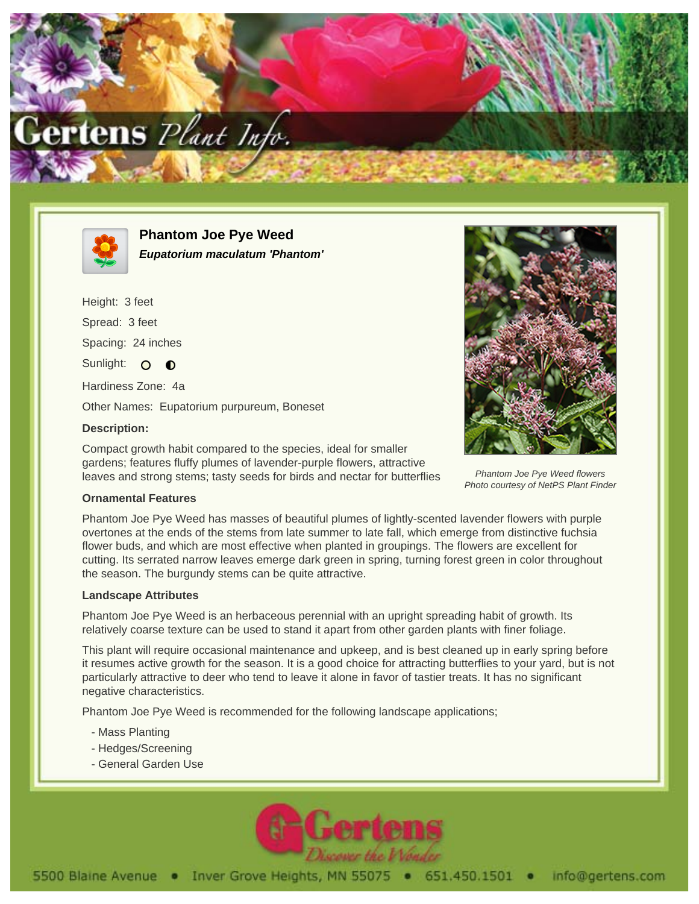



**Phantom Joe Pye Weed Eupatorium maculatum 'Phantom'**

Height: 3 feet Spread: 3 feet Spacing: 24 inches Sunlight: O  $\bullet$ Hardiness Zone: 4a

Other Names: Eupatorium purpureum, Boneset

## **Description:**

Compact growth habit compared to the species, ideal for smaller gardens; features fluffy plumes of lavender-purple flowers, attractive leaves and strong stems; tasty seeds for birds and nectar for butterflies



Phantom Joe Pye Weed flowers Photo courtesy of NetPS Plant Finder

## **Ornamental Features**

Phantom Joe Pye Weed has masses of beautiful plumes of lightly-scented lavender flowers with purple overtones at the ends of the stems from late summer to late fall, which emerge from distinctive fuchsia flower buds, and which are most effective when planted in groupings. The flowers are excellent for cutting. Its serrated narrow leaves emerge dark green in spring, turning forest green in color throughout the season. The burgundy stems can be quite attractive.

## **Landscape Attributes**

Phantom Joe Pye Weed is an herbaceous perennial with an upright spreading habit of growth. Its relatively coarse texture can be used to stand it apart from other garden plants with finer foliage.

This plant will require occasional maintenance and upkeep, and is best cleaned up in early spring before it resumes active growth for the season. It is a good choice for attracting butterflies to your yard, but is not particularly attractive to deer who tend to leave it alone in favor of tastier treats. It has no significant negative characteristics.

Phantom Joe Pye Weed is recommended for the following landscape applications;

- Mass Planting
- Hedges/Screening
- General Garden Use